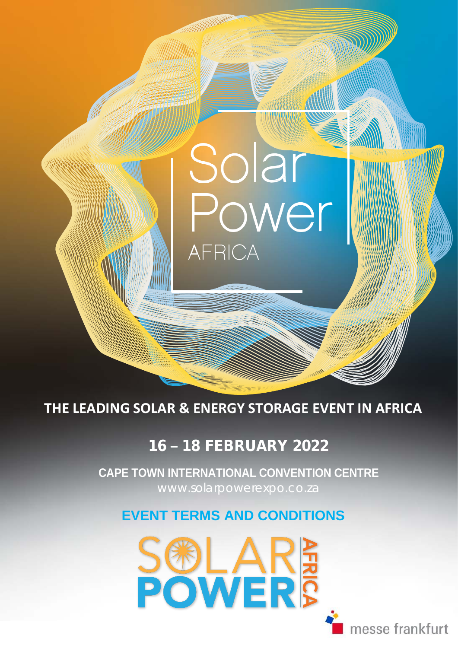**THE LEADING SOLAR & ENERGY STORAGE EVENT IN AFRICA**

**AFRICA** 

Solar

# 16 **–** 18 FEBRUARY 2022

 [www.solarpowerexpo.co.za](http://www.solarpowerexpo.co.za/) **CAPE TOWN INTERNATIONAL CONVENTION CENTRE**

# **EVENT TERMS AND CONDITIONS**



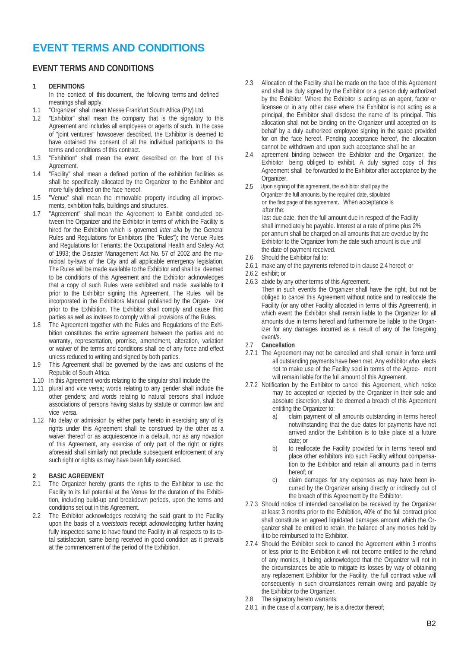### **EVENT TERMS AND CONDITIONS**

### **EVENT TERMS AND CONDITIONS**

#### **1 DEFINITIONS**

In the context of this document, the following terms and defined meanings shall apply.

- 1.1 "Organizer" shall mean Messe Frankfurt South Africa (Pty) Ltd.<br>12 "Exhibitor" shall mean the company that is the signatory
- "Exhibitor" shall mean the company that is the signatory to this Agreement and includes all employees or agents of such. In the case of "joint ventures" howsoever described, the Exhibitor is deemed to have obtained the consent of all the individual participants to the terms and conditions of this contract.
- 1.3 "Exhibition" shall mean the event described on the front of this Agreement.
- 1.4 "Facility" shall mean a defined portion of the exhibition facilities as shall be specifically allocated by the Organizer to the Exhibitor and more fully defined on the face hereof.
- 1.5 "Venue" shall mean the immovable property including all improvements, exhibition halls, buildings and structures.
- 1.7 "Agreement" shall mean the Agreement to Exhibit concluded between the Organizer and the Exhibitor in terms of which the Facility is hired for the Exhibition which is governed *inter alia* by the General Rules and Regulations for Exhibitors (the "Rules"); the Venue Rules and Regulations for Tenants; the Occupational Health and Safety Act of 1993; the Disaster Management Act No. 57 of 2002 and the municipal by-laws of the City and all applicable emergency legislation. The Rules will be made available to the Exhibitor and shall be deemed to be conditions of this Agreement and the Exhibitor acknowledges that a copy of such Rules were exhibited and made available to it prior to the Exhibitor signing this Agreement. The Rules will be incorporated in the Exhibitors Manual published by the Organ- izer prior to the Exhibition. The Exhibitor shall comply and cause third parties as well as invitees to comply with all provisions of the Rules.
- 1.8 The Agreement together with the Rules and Regulations of the Exhibition constitutes the entire agreement between the parties and no warranty, representation, promise, amendment, alteration, variation or waiver of the terms and conditions shall be of any force and effect unless reduced to writing and signed by both parties.
- 1.9 This Agreement shall be governed by the laws and customs of the Republic of South Africa.
- 1.10 In this Agreement words relating to the singular shall include the
- 1.11 plural and vice versa; words relating to any gender shall include the other genders; and words relating to natural persons shall include associations of persons having status by statute or common law and vice versa.
- 1.12 No delay or admission by either party hereto in exercising any of its rights under this Agreement shall be construed by the other as a waiver thereof or as acquiescence in a default, nor as any novation of this Agreement, any exercise of only part of the right or rights aforesaid shall similarly not preclude subsequent enforcement of any such right or rights as may have been fully exercised.

### 2.1 **BASIC AGREEMENT**<br>2.1 The Organizer hereby

- The Organizer hereby grants the rights to the Exhibitor to use the Facility to its full potential at the Venue for the duration of the Exhibition, including build-up and breakdown periods, upon the terms and conditions set out in this Agreement.
- 2.2 The Exhibitor acknowledges receiving the said grant to the Facility upon the basis of a *voetstoots* receipt acknowledging further having fully inspected same to have found the Facility in all respects to its total satisfaction, same being received in good condition as it prevails at the commencement of the period of the Exhibition.
- 2.3 Allocation of the Facility shall be made on the face of this Agreement and shall be duly signed by the Exhibitor or a person duly authorized by the Exhibitor. Where the Exhibitor is acting as an agent, factor or licensee or in any other case where the Exhibitor is not acting as a principal, the Exhibitor shall disclose the name of its principal. This allocation shall not be binding on the Organizer until accepted on its behalf by a duly authorized employee signing in the space provided for on the face hereof. Pending acceptance hereof, the allocation cannot be withdrawn and upon such acceptance shall be an
- 2.4 agreement binding between the Exhibitor and the Organizer, the Exhibitor being obliged to exhibit. A duly signed copy of this Agreement shall be forwarded to the Exhibitor after acceptance by the Organizer.
- 2.5 Upon signing of this agreement, the exhibitor shall pay the Organizer the full amounts, by the required date, stipulated on the first page of this agreement. When acceptance is after the: last due date, then the full amount due in respect of the Facility shall immediately be payable. Interest at a rate of prime plus 2% per annum shall be charged on all amounts that are overdue by the Exhibitor to the Organizer from the date such amount is due until the date of payment received.
- 2.6 Should the Exhibitor fail to:
- 2.6.1 make any of the payments referred to in clause 2.4 hereof; or
- 2.6.2 exhibit; or
- 2.6.3 abide by any other terms of this Agreement. Then in such event/s the Organizer shall have the right, but not be obliged to cancel this Agreement without notice and to reallocate the Facility (or any other Facility allocated in terms of this Agreement), in which event the Exhibitor shall remain liable to the Organizer for all amounts due in terms hereof and furthermore be liable to the Organizer for any damages incurred as a result of any of the foregoing event/s.
- 2.7 **Cancellation**
- 2.7.1 The Agreement may not be cancelled and shall remain in force until all outstanding payments have been met. Any exhibitor who elects not to make use of the Facility sold in terms of the Agree- ment will remain liable for the full amount of this Agreement.
- 2.7.2 Notification by the Exhibitor to cancel this Agreement, which notice may be accepted or rejected by the Organizer in their sole and absolute discretion, shall be deemed a breach of this Agreement entitling the Organizer to:
	- a) claim payment of all amounts outstanding in terms hereof notwithstanding that the due dates for payments have not arrived and/or the Exhibition is to take place at a future date; or
	- b) to reallocate the Facility provided for in terms hereof and place other exhibitors into such Facility without compensation to the Exhibitor and retain all amounts paid in terms hereof; or
	- c) claim damages for any expenses as may have been incurred by the Organizer arising directly or indirectly out of the breach of this Agreement by the Exhibitor.
- 2.7.3 Should notice of intended cancellation be received by the Organizer at least 3 months prior to the Exhibition, 40% of the full contract price shall constitute an agreed liquidated damages amount which the Organizer shall be entitled to retain, the balance of any monies held by it to be reimbursed to the Exhibitor.
- 2.7.4 Should the Exhibitor seek to cancel the Agreement within 3 months or less prior to the Exhibition it will not become entitled to the refund of any monies, it being acknowledged that the Organizer will not in the circumstances be able to mitigate its losses by way of obtaining any replacement Exhibitor for the Facility, the full contract value will consequently in such circumstances remain owing and payable by the Exhibitor to the Organizer.
- 2.8 The signatory hereto warrants:
- 2.8.1 in the case of a company, he is a director thereof;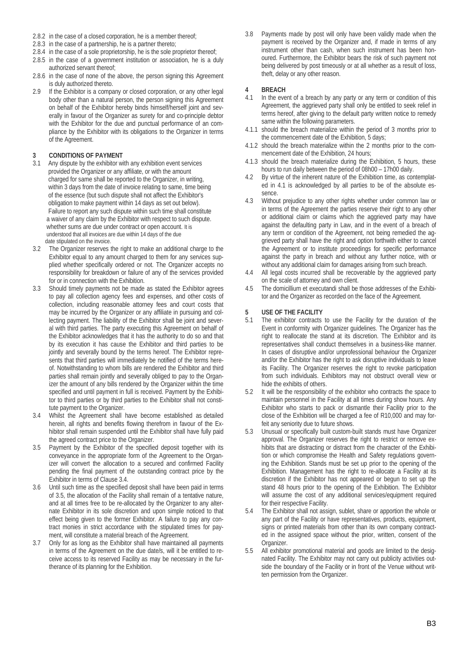- 2.8.2 in the case of a closed corporation, he is a member thereof;
- 2.8.3 in the case of a partnership, he is a partner thereto;
- 2.8.4 in the case of a sole proprietorship, he is the sole proprietor thereof;
- 2.8.5 in the case of a government institution or association, he is a duly
- authorized servant thereof; 2.8.6 in the case of none of the above, the person signing this Agreement is duly authorized thereto.
- 2.9 If the Exhibitor is a company or closed corporation, or any other legal body other than a natural person, the person signing this Agreement on behalf of the Exhibitor hereby binds himself/herself joint and severally in favour of the Organizer as surety for and co-principle debtor with the Exhibitor for the due and punctual performance of an compliance by the Exhibitor with its obligations to the Organizer in terms of the Agreement.

# **3 CONDITIONS OF PAYMENT**

- Any dispute by the exhibitor with any exhibition event services provided the Organizer or any affiliate, or with the amount charged for same shall be reported to the Organizer, in writing, within 3 days from the date of invoice relating to same, time being of the essence (but such dispute shall not affect the Exhibitor's obligation to make payment within 14 days as set out below). Failure to report any such dispute within such time shall constitute a waiver of any claim by the Exhibitor with respect to such dispute. whether sums are due under contract or open account. It is understood that all invoices are due within 14 days of the due date stipulated on the invoice.
- 3.2 The Organizer reserves the right to make an additional charge to the Exhibitor equal to any amount charged to them for any services supplied whether specifically ordered or not. The Organizer accepts no responsibility for breakdown or failure of any of the services provided for or in connection with the Exhibition.
- 3.3 Should timely payments not be made as stated the Exhibitor agrees to pay all collection agency fees and expenses, and other costs of collection, including reasonable attorney fees and court costs that may be incurred by the Organizer or any affiliate in pursuing and collecting payment. The liability of the Exhibitor shall be joint and several with third parties. The party executing this Agreement on behalf of the Exhibitor acknowledges that it has the authority to do so and that by its execution it has cause the Exhibitor and third parties to be jointly and severally bound by the terms hereof. The Exhibitor represents that third parties will immediately be notified of the terms hereof. Notwithstanding to whom bills are rendered the Exhibitor and third parties shall remain jointly and severally obliged to pay to the Organizer the amount of any bills rendered by the Organizer within the time specified and until payment in full is received. Payment by the Exhibitor to third parties or by third parties to the Exhibitor shall not constitute payment to the Organizer.
- 3.4 Whilst the Agreement shall have become established as detailed herein, all rights and benefits flowing therefrom in favour of the Exhibitor shall remain suspended until the Exhibitor shall have fully paid the agreed contract price to the Organizer.
- 3.5 Payment by the Exhibitor of the specified deposit together with its conveyance in the appropriate form of the Agreement to the Organizer will convert the allocation to a secured and confirmed Facility pending the final payment of the outstanding contract price by the Exhibitor in terms of Clause 3.4.
- 3.6 Until such time as the specified deposit shall have been paid in terms of 3.5, the allocation of the Facility shall remain of a tentative nature, and at all times free to be re-allocated by the Organizer to any alternate Exhibitor in its sole discretion and upon simple noticed to that effect being given to the former Exhibitor. A failure to pay any contract monies in strict accordance with the stipulated times for payment, will constitute a material breach of the Agreement.
- 3.7 Only for as long as the Exhibitor shall have maintained all payments in terms of the Agreement on the due date/s, will it be entitled to receive access to its reserved Facility as may be necessary in the furtherance of its planning for the Exhibition.

3.8 Payments made by post will only have been validly made when the payment is received by the Organizer and, if made in terms of any instrument other than cash, when such instrument has been honoured. Furthermore, the Exhibitor bears the risk of such payment not being delivered by post timeously or at all whether as a result of loss, theft, delay or any other reason.

## **4 BREACH**

- In the event of a breach by any party or any term or condition of this Agreement, the aggrieved party shall only be entitled to seek relief in terms hereof, after giving to the default party written notice to remedy same within the following parameters.
- 4.1.1 should the breach materialize within the period of 3 months prior to the commencement date of the Exhibition, 5 days;
- 4.1.2 should the breach materialize within the 2 months prior to the commencement date of the Exhibition, 24 hours;
- 4.1.3 should the breach materialize during the Exhibition, 5 hours, these hours to run daily between the period of 08h00 – 17h00 daily.
- 4.2 By virtue of the inherent nature of the Exhibition time, as contemplated in 4.1 is acknowledged by all parties to be of the absolute essence.
- 4.3 Without prejudice to any other rights whether under common law or in terms of the Agreement the parties reserve their right to any other or additional claim or claims which the aggrieved party may have against the defaulting party in Law, and in the event of a breach of any term or condition of the Agreement, not being remedied the aggrieved party shall have the right and option forthwith either to cancel the Agreement or to institute proceedings for specific performance against the party in breach and without any further notice, with or without any additional claim for damages arising from such breach.
- 4.4 All legal costs incurred shall be recoverable by the aggrieved party on the scale of attorney and own client.
- 4.5 The domicillium et executandi shall be those addresses of the Exhibitor and the Organizer as recorded on the face of the Agreement.

### **5 USE OF THE FACILITY**

- The exhibitor contracts to use the Facility for the duration of the Event in conformity with Organizer guidelines. The Organizer has the right to reallocate the stand at its discretion. The Exhibitor and its representatives shall conduct themselves in a business-like manner. In cases of disruptive and/or unprofessional behaviour the Organizer and/or the Exhibitor has the right to ask disruptive individuals to leave its Facility. The Organizer reserves the right to revoke participation from such individuals. Exhibitors may not obstruct overall view or hide the exhibits of others.
- 5.2 It will be the responsibility of the exhibitor who contracts the space to maintain personnel in the Facility at all times during show hours. Any Exhibitor who starts to pack or dismantle their Facility prior to the close of the Exhibition will be charged a fee of R10,000 and may forfeit any seniority due to future shows.
- 5.3 Unusual or specifically built custom-built stands must have Organizer approval. The Organizer reserves the right to restrict or remove exhibits that are distracting or distract from the character of the Exhibition or which compromise the Health and Safety regulations governing the Exhibition. Stands must be set up prior to the opening of the Exhibition. Management has the right to re-allocate a Facility at its discretion if the Exhibitor has not appeared or begun to set up the stand 48 hours prior to the opening of the Exhibition. The Exhibitor will assume the cost of any additional services/equipment required for their respective Facility.
- 5.4 The Exhibitor shall not assign, sublet, share or apportion the whole or any part of the Facility or have representatives, products, equipment, signs or printed materials from other than its own company contracted in the assigned space without the prior, written, consent of the Organizer.
- 5.5 All exhibitor promotional material and goods are limited to the designated Facility. The Exhibitor may not carry out publicity activities outside the boundary of the Facility or in front of the Venue without written permission from the Organizer.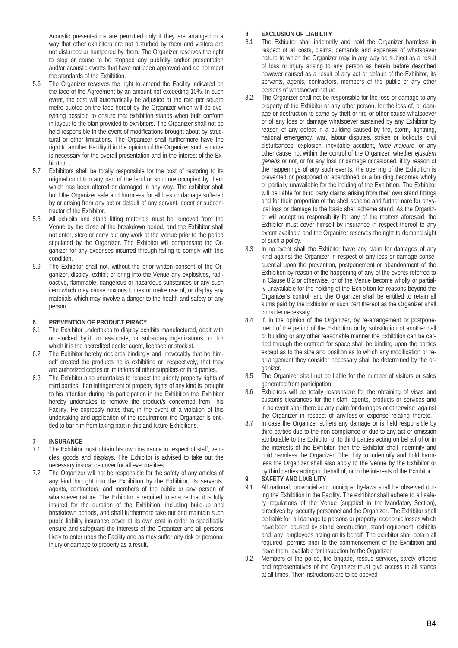Acoustic presentations are permitted only if they are arranged in a way that other exhibitors are not disturbed by them and visitors are not disturbed or hampered by them. The Organizer reserves the right to stop or cause to be stopped any publicity and/or presentation and/or acoustic events that have not been approved and do not meet the standards of the Exhibition.

- 5.6 The Organizer reserves the right to amend the Facility indicated on the face of the Agreement by an amount not exceeding 10%. In such event, the cost will automatically be adjusted at the rate per square metre quoted on the face hereof by the Organizer which will do everything possible to ensure that exhibition stands when built conform in layout to the plan provided to exhibitors. The Organizer shall not be held responsible in the event of modifications brought about by structural or other limitations. The Organizer shall furthermore have the right to another Facility if in the opinion of the Organizer such a move is necessary for the overall presentation and in the interest of the Exhibition.
- 5.7 Exhibitors shall be totally responsible for the cost of restoring to its original condition any part of the land or structure occupied by them which has been altered or damaged in any way. The exhibitor shall hold the Organizer safe and harmless for all loss or damage suffered by or arising from any act or default of any servant, agent or subcontractor of the Exhibitor.
- 5.8 All exhibits and stand fitting materials must be removed from the Venue by the close of the breakdown period, and the Exhibitor shall not enter, store or carry out any work at the Venue prior to the period stipulated by the Organizer. The Exhibitor will compensate the Organizer for any expenses incurred through failing to comply with this condition.
- 5.9 The Exhibitor shall not, without the prior written consent of the Organizer, display, exhibit or bring into the Venue any explosives, radioactive, flammable, dangerous or hazardous substances or any such item which may cause noxious fumes or make use of, or display any materials which may involve a danger to the health and safety of any person.

#### **6 PREVENTION OF PRODUCT PIRACY**

- 6.1 The Exhibitor undertakes to display exhibits manufactured, dealt with or stocked by it, or associate, or subsidiary organizations, or for which it is the accredited dealer agent, licensee or stockist.
- 6.2 The Exhibitor hereby declares bindingly and irrevocably that he himself created the products he is exhibiting or, respectively, that they are authorized copies or imitations of other suppliers or third parties.
- 6.3 The Exhibitor also undertakes to respect the priority property rights of third parties. If an infringement of property rights of any kind is brought to his attention during his participation in the Exhibition the Exhibitor hereby undertakes to remove the product/s concerned from his Facility. He expressly notes that, in the event of a violation of this undertaking and application of the requirement the Organizer is entitled to bar him from taking part in this and future Exhibitions.

# **7 INSURANCE**

- The Exhibitor must obtain his own insurance in respect of staff, vehicles, goods and displays. The Exhibitor is advised to take out the necessary insurance cover for all eventualities.
- The Organizer will not be responsible for the safety of any articles of any kind brought into the Exhibition by the Exhibitor, its servants, agents, contractors, and members of the public or any person of whatsoever nature. The Exhibitor is required to ensure that it is fully insured for the duration of the Exhibition, including build-up and breakdown periods, and shall furthermore take out and maintain such public liability insurance cover at its own cost in order to specifically ensure and safeguard the interests of the Organizer and all persons likely to enter upon the Facility and as may suffer any risk or personal injury or damage to property as a result.

### **8 EXCLUSION OF LIABILITY**

- The Exhibitor shall indemnify and hold the Organizer harmless in respect of all costs, claims, demands and expenses of whatsoever nature to which the Organizer may in any way be subject as a result of loss or injury arising to any person as herein before described however caused as a result of any act or default of the Exhibitor, its servants, agents, contractors, members of the public or any other persons of whatsoever nature.
- 8.2 The Organizer shall not be responsible for the loss or damage to any property of the Exhibitor or any other person, for the loss of, or damage or destruction to same by theft or fire or other cause whatsoever or of any loss or damage whatsoever sustained by any Exhibitor by reason of any defect in a building caused by fire, storm, lightning, national emergency, war, labour disputes, strikes or lockouts, civil disturbances, explosion, inevitable accident, *force majeure*, or any other cause not within the control of the Organizer, whether *ejusdem generis* or not, or for any loss or damage occasioned, if by reason of the happenings of any such events, the opening of the Exhibition is prevented or postponed or abandoned or a building becomes wholly or partially unavailable for the holding of the Exhibition. The Exhibitor will be liable for third party claims arising from their own stand fittings and for their proportion of the shell scheme and furthermore for physical loss or damage to the basic shell scheme stand. As the Organizer will accept no responsibility for any of the matters aforesaid, the Exhibitor must cover himself by insurance in respect thereof to any extent available and the Organizer reserves the right to demand sight of such a policy.
- 8.3 In no event shall the Exhibitor have any claim for damages of any kind against the Organizer in respect of any loss or damage consequential upon the prevention, postponement or abandonment of the Exhibition by reason of the happening of any of the events referred to in Clause 8.2 or otherwise, or of the Venue become wholly or partially unavailable for the holding of the Exhibition for reasons beyond the Organizer's control, and the Organizer shall be entitled to retain all sums paid by the Exhibitor or such part thereof as the Organizer shall consider necessary.
- 8.4 If, in the opinion of the Organizer, by re-arrangement or postponement of the period of the Exhibition or by substitution of another hall or building or any other reasonable manner the Exhibition can be carried through the contract for space shall be binding upon the parties except as to the size and position as to which any modification or rearrangement they consider necessary shall be determined by the organizer.
- 8.5 The Organizer shall not be liable for the number of visitors or sales generated from participation.
- 8.6 Exhibitors will be totally responsible for the obtaining of visas and customs clearances for their staff, agents, products or services and in no event shall there be any claim for damages or otherwise against the Organizer in respect of any loss or expense relating thereto.
- 8.7 In case the Organizer suffers any damage or is held responsible by third parties due to the non-compliance or due to any act or omission attributable to the Exhibitor or to third parties acting on behalf of or in the interests of the Exhibitor, then the Exhibitor shall indemnify and hold harmless the Organizer. The duty to indemnify and hold harmless the Organizer shall also apply to the Venue by the Exhibitor or by third parties acting on behalf of, or in the interests of the Exhibitor.

### **9 SAFETY AND LIABILITY**

- All national, provincial and municipal by-laws shall be observed during the Exhibition in the Facility. The exhibitor shall adhere to all safety regulations of the Venue (supplied in the Mandatory Section), directives by security personnel and the Organizer. The Exhibitor shall be liable for all damage to persons or property, economic losses which have been caused by stand construction, stand equipment, exhibits and any employees acting on its behalf. The exhibitor shall obtain all required permits prior to the commencement of the Exhibition and have them available for inspection by the Organizer.
- 9.2 Members of the police, fire brigade, rescue services, safety officers and representatives of the Organizer must give access to all stands at all times. Their instructions are to be obeyed